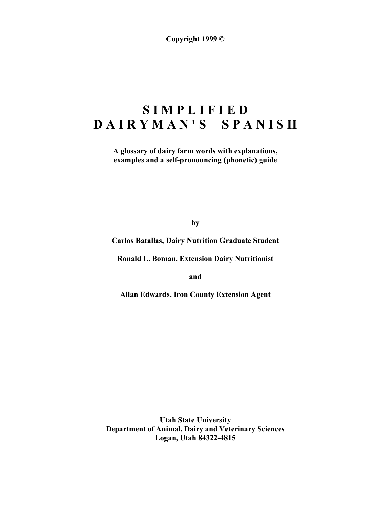**Copyright 1999 ©**

# **S I M P L I F I E D D A I R Y M A N ' S S P A N I S H**

**A glossary of dairy farm words with explanations, examples and a self-pronouncing (phonetic) guide**

**by**

**Carlos Batallas, Dairy Nutrition Graduate Student**

**Ronald L. Boman, Extension Dairy Nutritionist**

**and**

**Allan Edwards, Iron County Extension Agent**

**Utah State University Department of Animal, Dairy and Veterinary Sciences Logan, Utah 84322-4815**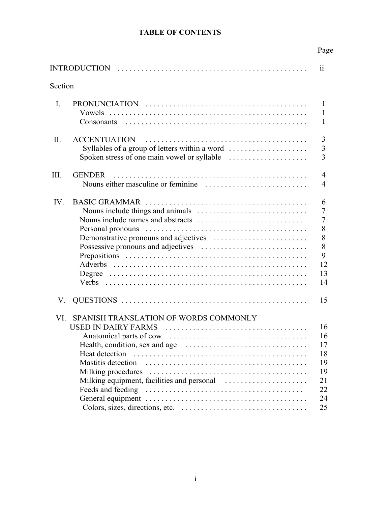# **TABLE OF CONTENTS**

|          |                                                                                | Page                                                           |
|----------|--------------------------------------------------------------------------------|----------------------------------------------------------------|
|          |                                                                                | $\ddot{\mathbf{i}}$                                            |
| Section  |                                                                                |                                                                |
| L        | Vowels<br><b>Consonants</b>                                                    | 1<br>1<br>1                                                    |
| II.      | <b>ACCENTUATION</b><br>Syllables of a group of letters within a word           | 3<br>$\overline{\mathbf{3}}$<br>3                              |
| III.     | <b>GENDER</b>                                                                  | 4<br>4                                                         |
| $IV_{i}$ | <b>BASIC GRAMMAR</b>                                                           | 6<br>7<br>$\overline{7}$<br>8<br>8<br>8<br>9<br>12<br>13<br>14 |
| V.       |                                                                                | 15                                                             |
| VI.      | SPANISH TRANSLATION OF WORDS COMMONLY<br>USED IN DAIRY FARMS<br>Heat detection | 16<br>16<br>17<br>18<br>19<br>19<br>21<br>22<br>24<br>25       |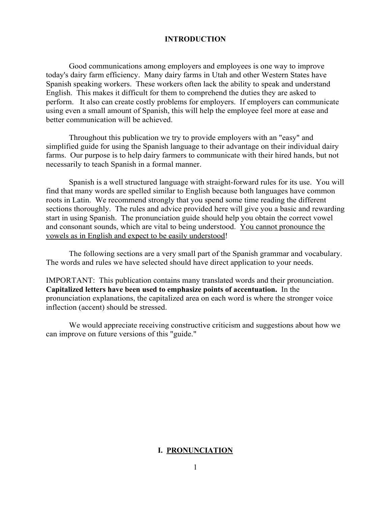#### **INTRODUCTION**

Good communications among employers and employees is one way to improve today's dairy farm efficiency. Many dairy farms in Utah and other Western States have Spanish speaking workers. These workers often lack the ability to speak and understand English. This makes it difficult for them to comprehend the duties they are asked to perform. It also can create costly problems for employers. If employers can communicate using even a small amount of Spanish, this will help the employee feel more at ease and better communication will be achieved.

Throughout this publication we try to provide employers with an "easy" and simplified guide for using the Spanish language to their advantage on their individual dairy farms. Our purpose is to help dairy farmers to communicate with their hired hands, but not necessarily to teach Spanish in a formal manner.

Spanish is a well structured language with straight-forward rules for its use. You will find that many words are spelled similar to English because both languages have common roots in Latin. We recommend strongly that you spend some time reading the different sections thoroughly. The rules and advice provided here will give you a basic and rewarding start in using Spanish. The pronunciation guide should help you obtain the correct vowel and consonant sounds, which are vital to being understood. You cannot pronounce the vowels as in English and expect to be easily understood!

The following sections are a very small part of the Spanish grammar and vocabulary. The words and rules we have selected should have direct application to your needs.

IMPORTANT: This publication contains many translated words and their pronunciation. **Capitalized letters have been used to emphasize points of accentuation.** In the pronunciation explanations, the capitalized area on each word is where the stronger voice inflection (accent) should be stressed.

We would appreciate receiving constructive criticism and suggestions about how we can improve on future versions of this "guide."

#### **I. PRONUNCIATION**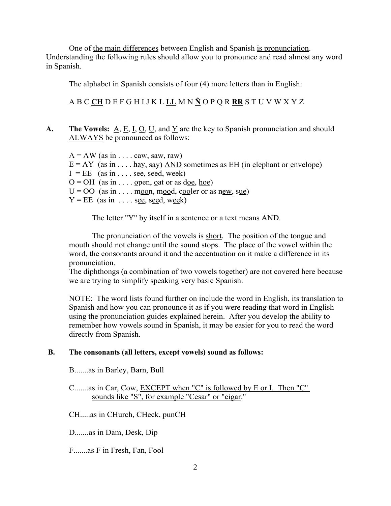One of the main differences between English and Spanish is pronunciation. Understanding the following rules should allow you to pronounce and read almost any word in Spanish.

The alphabet in Spanish consists of four (4) more letters than in English:

A B C **CH** D E F G H I J K L **LL** M N **Ñ** O P Q R **RR** S T U V W X Y Z

**A.** The Vowels:  $\underline{A}$ ,  $\underline{E}$ ,  $\underline{I}$ ,  $\underline{O}$ ,  $\underline{U}$ , and  $\underline{Y}$  are the key to Spanish pronunciation and should ALWAYS be pronounced as follows:

 $A = AW$  (as in . . . . caw, saw, raw)  $E = AY$  (as in ... hay, say) AND sometimes as EH (in elephant or envelope)  $I = EE$  (as in . . . . see, seed, week)  $O = OH$  (as in . . . . open, oat or as doe, hoe)  $U = OO$  (as in . . . . moon, mood, cooler or as new, sue)  $Y = EE$  (as in ... see, seed, week)

The letter "Y" by itself in a sentence or a text means AND.

The pronunciation of the vowels is short. The position of the tongue and mouth should not change until the sound stops. The place of the vowel within the word, the consonants around it and the accentuation on it make a difference in its pronunciation.

The diphthongs (a combination of two vowels together) are not covered here because we are trying to simplify speaking very basic Spanish.

NOTE: The word lists found further on include the word in English, its translation to Spanish and how you can pronounce it as if you were reading that word in English using the pronunciation guides explained herein. After you develop the ability to remember how vowels sound in Spanish, it may be easier for you to read the word directly from Spanish.

#### **B. The consonants (all letters, except vowels) sound as follows:**

B.......as in Barley, Barn, Bull

C.......as in Car, Cow, EXCEPT when "C" is followed by E or I. Then "C" sounds like "S", for example "Cesar" or "cigar."

CH.....as in CHurch, CHeck, punCH

D.......as in Dam, Desk, Dip

F.......as F in Fresh, Fan, Fool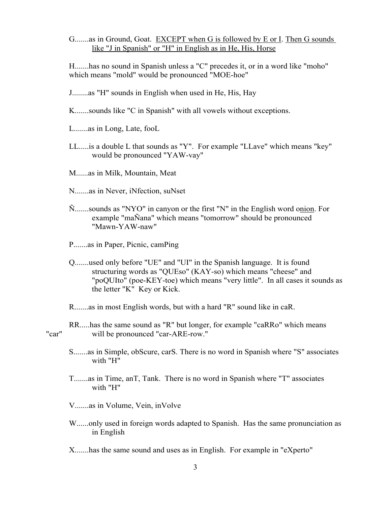G.......as in Ground, Goat. EXCEPT when G is followed by E or I. Then G sounds like "J in Spanish" or "H" in English as in He, His, Horse

H.......has no sound in Spanish unless a "C" precedes it, or in a word like "moho" which means "mold" would be pronounced "MOE-hoe"

K.......sounds like "C in Spanish" with all vowels without exceptions.

L.......as in Long, Late, fooL

LL.....is a double L that sounds as "Y". For example "LLave" which means "key" would be pronounced "YAW-vay"

M......as in Milk, Mountain, Meat

N.......as in Never, iNfection, suNset

Ñ.......sounds as "NYO" in canyon or the first "N" in the English word onion. For example "maÑana" which means "tomorrow" should be pronounced "Mawn-YAW-naw"

P.......as in Paper, Picnic, camPing

Q.......used only before "UE" and "UI" in the Spanish language. It is found structuring words as "QUEso" (KAY-so) which means "cheese" and "poQUIto" (poe-KEY-toe) which means "very little". In all cases it sounds as the letter "K" Key or Kick.

R.......as in most English words, but with a hard "R" sound like in caR.

RR.....has the same sound as "R" but longer, for example "caRRo" which means "car" will be pronounced "car-ARE-row."

- S.......as in Simple, obScure, carS. There is no word in Spanish where "S" associates with "H"
- T.......as in Time, anT, Tank. There is no word in Spanish where "T" associates with "H"

V.......as in Volume, Vein, inVolve

W......only used in foreign words adapted to Spanish. Has the same pronunciation as in English

X.......has the same sound and uses as in English. For example in "eXperto"

J........as "H" sounds in English when used in He, His, Hay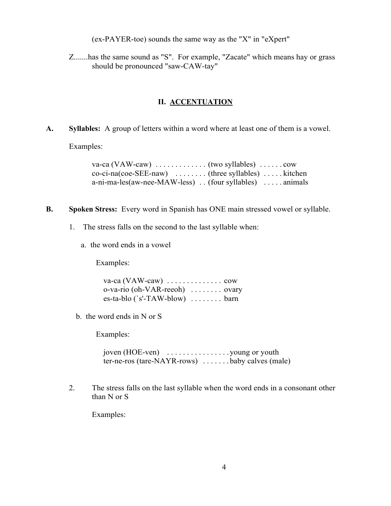(ex-PAYER-toe) sounds the same way as the "X" in "eXpert"

Z.......has the same sound as "S". For example, "Zacate" which means hay or grass should be pronounced "saw-CAW-tay"

### **II. ACCENTUATION**

**A. Syllables:** A group of letters within a word where at least one of them is a vowel.

Examples:

| $co-ci-na(coe-SEE-naw)$ (three syllables)  kitchen        |  |
|-----------------------------------------------------------|--|
| $a-ni-ma-les(aw-nee-MAW-less)$ . (four syllables) animals |  |

- **B. Spoken Stress:** Every word in Spanish has ONE main stressed vowel or syllable.
	- 1. The stress falls on the second to the last syllable when:
		- a. the word ends in a vowel

Examples:

| o-va-rio (oh-VAR-reeoh)  ovary |  |  |  |
|--------------------------------|--|--|--|
| $es-ta-blo('s'-TAW-blow)$ barn |  |  |  |

b. the word ends in N or S

Examples:

joven (HOE-ven) . . . . . . . . . . . . . . . . young or youth ter-ne-ros (tare-NAYR-rows) ....... baby calves (male)

2. The stress falls on the last syllable when the word ends in a consonant other than N or S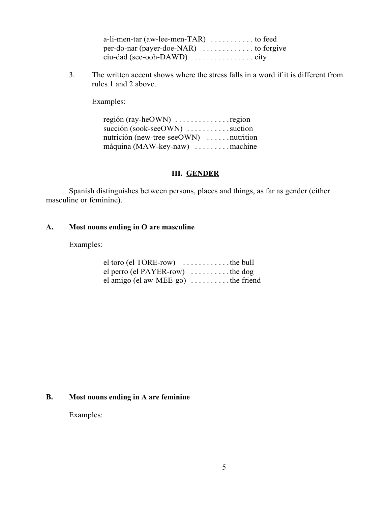| a-li-men-tar (aw-lee-men-TAR) $\dots \dots \dots$ to feed   |  |
|-------------------------------------------------------------|--|
| $per-do-nar$ (payer-doe-NAR) $\dots \dots \dots$ to forgive |  |
|                                                             |  |

3. The written accent shows where the stress falls in a word if it is different from rules 1 and 2 above.

Examples:

región (ray-heOWN) .................region succión (sook-seeOWN) ..........suction nutrición (new-tree-seeOWN) . . . . . . nutrition máquina (MAW-key-naw) ......... machine

### **III. GENDER**

Spanish distinguishes between persons, places and things, as far as gender (either masculine or feminine).

### **A. Most nouns ending in O are masculine**

### Examples:

| $el$ toro ( $el$ TORE-row) $\dots \dots \dots$ the bull |  |
|---------------------------------------------------------|--|
| el perro (el PAYER-row) $\dots \dots \dots$ the dog     |  |
| el amigo (el aw-MEE-go) $\dots \dots$ the friend        |  |

#### **B. Most nouns ending in A are feminine**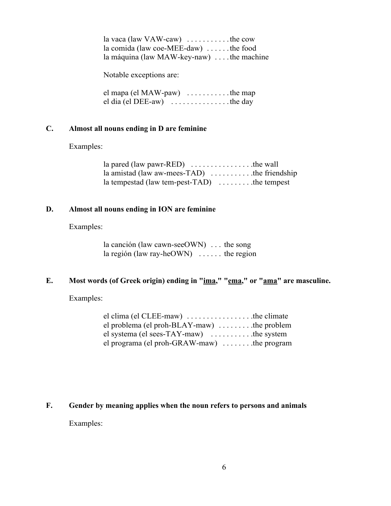la vaca (law VAW-caw) ...........the cow la comida (law coe-MEE-daw) . . . . . . the food la máquina (law MAW-key-naw) .... the machine

Notable exceptions are:

el mapa (el MAW-paw) ...........the map el dia (el DEE-aw) . . . . . . . . . . . . . . . the day

#### **C. Almost all nouns ending in D are feminine**

Examples:

| la pared (law pawr-RED) $\dots \dots \dots \dots$ the wall      |  |
|-----------------------------------------------------------------|--|
| la amistad (law aw-mees-TAD) $\dots \dots \dots$ the friendship |  |
| la tempestad (law tem-pest-TAD) $\dots \dots$ the tempest       |  |

#### **D. Almost all nouns ending in ION are feminine**

Examples:

la canción (law cawn-seeOWN) . . . the song la región (law ray-heOWN) ...... the region

### **E. Most words (of Greek origin) ending in "ima," "ema," or "ama" are masculine.**

Examples:

| el clima (el CLEE-maw) $\dots \dots \dots \dots$ the climate |  |
|--------------------------------------------------------------|--|
| el problema (el proh-BLAY-maw) $\dots \dots$ the problem     |  |
| el systema (el sees-TAY-maw) $\dots \dots \dots$ the system  |  |
| el programa (el proh-GRAW-maw) $\dots \dots$ the program     |  |

#### **F. Gender by meaning applies when the noun refers to persons and animals**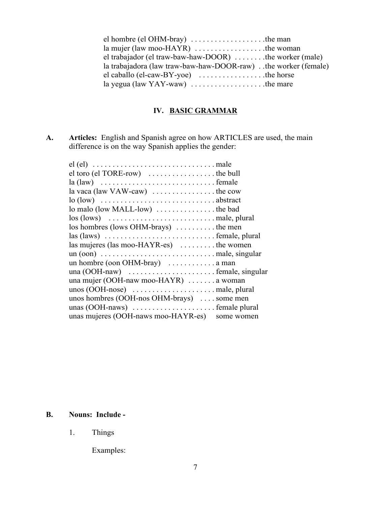| el hombre (el OHM-bray) $\dots \dots \dots \dots \dots$ the man      |  |
|----------------------------------------------------------------------|--|
| la mujer (law moo-HAYR) $\dots \dots \dots \dots \dots$ the woman    |  |
| el trabajador (el traw-baw-haw-DOOR) $\dots \dots$ the worker (male) |  |
| la trabajadora (law traw-baw-haw-DOOR-raw). the worker (female)      |  |
| el caballo (el-caw-BY-yoe) $\dots \dots \dots \dots$ the horse       |  |
| la yegua (law YAY-waw) $\dots \dots \dots \dots \dots$ the mare      |  |

# **IV. BASIC GRAMMAR**

**A. Articles:** English and Spanish agree on how ARTICLES are used, the main difference is on the way Spanish applies the gender:

| $el$ toro ( $el$ TORE-row) $\dots \dots \dots \dots \dots$ the bull                            |
|------------------------------------------------------------------------------------------------|
|                                                                                                |
|                                                                                                |
|                                                                                                |
|                                                                                                |
| $\log$ (lows) $\dots \dots \dots \dots \dots \dots \dots \dots$ male, plural                   |
| los hombres (lows OHM-brays)  the men                                                          |
| $\text{las (laws)} \dots \dots \dots \dots \dots \dots \dots \dots \dots \dots$ female, plural |
| las mujeres (las moo-HAYR-es)  the women                                                       |
| $un (oon) \dots \dots \dots \dots \dots \dots \dots \dots \dots \dots \dots$ male, singular    |
| un hombre (oon OHM-bray) $\dots \dots \dots \dots$ a man                                       |
|                                                                                                |
| una mujer (OOH-naw moo-HAYR) $\dots \dots$ a woman                                             |
|                                                                                                |
| unos hombres (OOH-nos OHM-brays)  some men                                                     |
|                                                                                                |
| unas mujeres (OOH-naws moo-HAYR-es) some women                                                 |

## **B. Nouns: Include -**

1. Things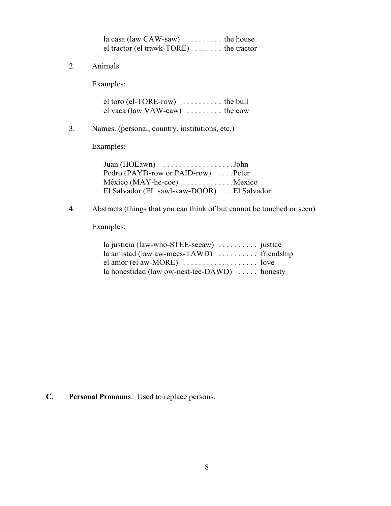| $la \cos(\theta)$ and $CAW-saw$ the house |  |
|-------------------------------------------|--|
| el tractor (el trawk-TORE)  the tractor   |  |

2. Animals

Examples:

el toro (el-TORE-row) ........... the bull el vaca (law VAW-caw) ......... the cow

3. Names. (personal, country, institutions, etc.)

Examples:

Juan (HOEawn) . . . . . . . . . . . . . . . . . . John Pedro (PAYD-row or PAID-row) ....Peter México (MAY-he-coe) ............Mexico El Salvador (EL sawl-vaw-DOOR) . . . El Salvador

4. Abstracts (things that you can think of but cannot be touched or seen)

Examples:

| la justicia (law-who-STEE-seeaw) $\dots \dots$ justice               |  |
|----------------------------------------------------------------------|--|
| la amistad (law aw-mees-TAWD) $\dots \dots$ friendship               |  |
| $el$ amor ( $el$ aw-MORE) $\dots \dots \dots \dots \dots \dots$ love |  |
| la honestidad (law ow-nest-tee-DAWD) $\dots$ honesty                 |  |

**C. Personal Pronouns**: Used to replace persons.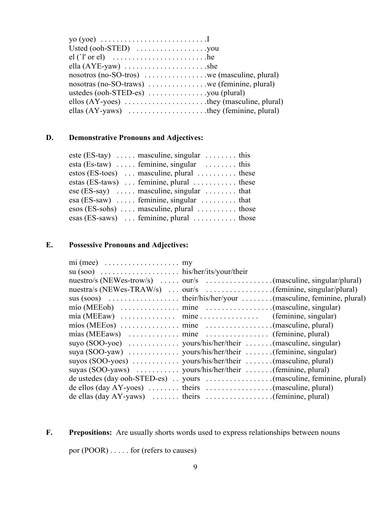| yo (yoe) $\dots \dots \dots \dots \dots \dots \dots \dots \dots$                  |  |
|-----------------------------------------------------------------------------------|--|
|                                                                                   |  |
|                                                                                   |  |
|                                                                                   |  |
|                                                                                   |  |
| $nosotras (no-SO-trans)$ we (feminine, plural)                                    |  |
| ustedes $(ooh-STED-es)$ you (plural)                                              |  |
|                                                                                   |  |
| ellas $(AY$ -yaws $) \dots \dots \dots \dots \dots \dots$ they (feminine, plural) |  |

# **D. Demonstrative Pronouns and Adjectives:**

| este (ES-tay) $\ldots$ masculine, singular $\ldots$ is this           |  |
|-----------------------------------------------------------------------|--|
| esta (Es-taw) $\ldots$ feminine, singular $\ldots$ , this             |  |
| estos (ES-toes) $\dots$ masculine, plural $\dots$ these               |  |
| estas (ES-taws) $\ldots$ feminine, plural $\ldots$ , $\ldots$ , these |  |
| $\csc(ES-say)$ masculine, singular  that                              |  |
| $\text{esa}(\text{ES-saw})$ feminine, singular  that                  |  |
| $\cos$ (ES-sohs)  masculine, plural  those                            |  |
| $\text{esas (ES-saws)} \dots$ feminine, plural $\dots \dots$ those    |  |
|                                                                       |  |

# **E. Possessive Pronouns and Adjectives:**

| $mi$ (mee) $\dots \dots \dots \dots \dots \dots \dots$                                                    |  |
|-----------------------------------------------------------------------------------------------------------|--|
|                                                                                                           |  |
|                                                                                                           |  |
|                                                                                                           |  |
|                                                                                                           |  |
| $m$ ío (MEEoh) $\dots \dots \dots \dots$ mine $\dots \dots \dots \dots \dots \dots$ (masculine, singular) |  |
|                                                                                                           |  |
|                                                                                                           |  |
|                                                                                                           |  |
|                                                                                                           |  |
|                                                                                                           |  |
|                                                                                                           |  |
| suyas (SOO-yaws)  yours/his/her/their  (feminine, plural)                                                 |  |
|                                                                                                           |  |
| de ellos (day AY-yoes) $\dots \dots$ theirs $\dots \dots \dots \dots \dots$ (masculine, plural)           |  |
| de ellas (day AY-yaws) $\dots \dots$ theirs $\dots \dots \dots \dots$ (feminine, plural)                  |  |

F. Prepositions: Are usually shorts words used to express relationships between nouns

por (POOR) . . . . . for (refers to causes)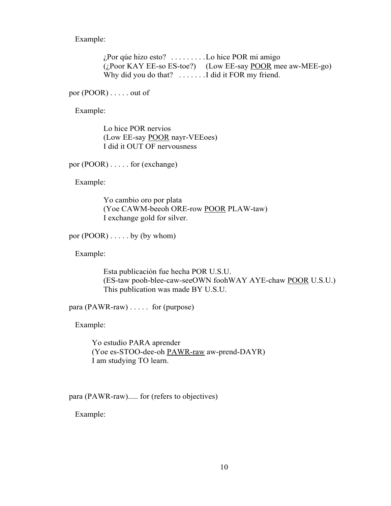Example:

¿Por qúe hizo esto? . . . . . . . . . Lo hice POR mi amigo (¿Poor KAY EE-so ES-toe?) (Low EE-say POOR mee aw-MEE-go) Why did you do that? ....... I did it FOR my friend.

por (POOR) . . . . . out of

Example:

Lo hice POR nervios (Low EE-say POOR nayr-VEEoes) I did it OUT OF nervousness

por (POOR) . . . . . for (exchange)

Example:

Yo cambio oro por plata (Yoe CAWM-beeoh ORE-row POOR PLAW-taw) I exchange gold for silver.

por (POOR) . . . . . by (by whom)

Example:

Esta publicación fue hecha POR U.S.U. (ES-taw pooh-blee-caw-seeOWN foohWAY AYE-chaw POOR U.S.U.) This publication was made BY U.S.U.

para (PAWR-raw) . . . . . for (purpose)

Example:

Yo estudio PARA aprender (Yoe es-STOO-dee-oh PAWR-raw aw-prend-DAYR) I am studying TO learn.

para (PAWR-raw)..... for (refers to objectives)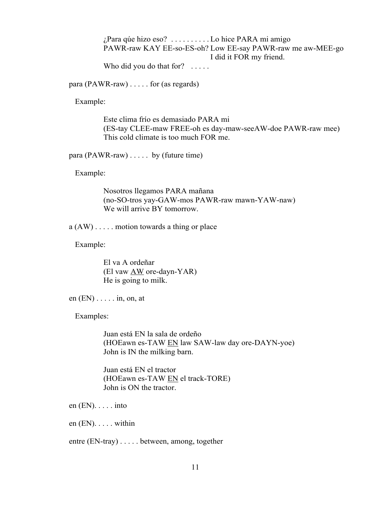¿Para qúe hizo eso? . . . . . . . . . . Lo hice PARA mi amigo PAWR-raw KAY EE-so-ES-oh? Low EE-say PAWR-raw me aw-MEE-go I did it FOR my friend.

Who did you do that for? .....

para (PAWR-raw) . . . . . for (as regards)

Example:

Este clima frío es demasiado PARA mi (ES-tay CLEE-maw FREE-oh es day-maw-seeAW-doe PAWR-raw mee) This cold climate is too much FOR me.

para (PAWR-raw) . . . . . by (future time)

Example:

Nosotros llegamos PARA mañana (no-SO-tros yay-GAW-mos PAWR-raw mawn-YAW-naw) We will arrive BY tomorrow.

 $a (AW) \dots$  motion towards a thing or place

Example:

El va A ordeñar (El vaw AW ore-dayn-YAR) He is going to milk.

en (EN) . . . . . in, on, at

Examples:

Juan está EN la sala de ordeño (HOEawn es-TAW EN law SAW-law day ore-DAYN-yoe) John is IN the milking barn.

Juan está EN el tractor (HOEawn es-TAW EN el track-TORE) John is ON the tractor.

en (EN). . . . . into

en (EN). . . . . within

entre (EN-tray) . . . . . between, among, together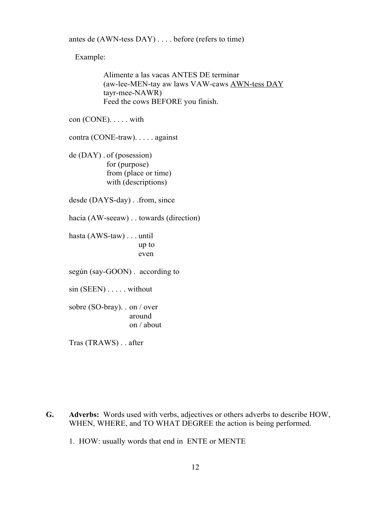antes de (AWN-tess DAY) . . . . before (refers to time)

Example:

Alimente a las vacas ANTES DE terminar (aw-lee-MEN-tay aw laws VAW-caws AWN-tess DAY tayr-mee-NAWR) Feed the cows BEFORE you finish.

con (CONE). . . . . with

contra (CONE-traw). . . . . against

de (DAY) . of (posession) for (purpose) from (place or time) with (descriptions)

desde (DAYS-day) . .from, since

hacia (AW-seeaw) . . towards (direction)

hasta (AWS-taw) . . . until up to even

según (say-GOON) . according to

sin (SEEN) . . . . . without

sobre (SO-bray). . on / over around on / about

Tras (TRAWS) . . after

**G. Adverbs:** Words used with verbs, adjectives or others adverbs to describe HOW, WHEN, WHERE, and TO WHAT DEGREE the action is being performed.

1. HOW: usually words that end in ENTE or MENTE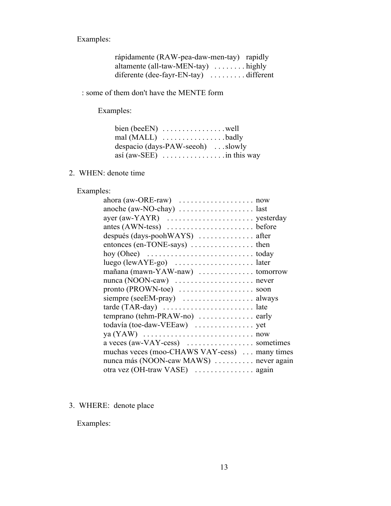Examples:

| rápidamente (RAW-pea-daw-men-tay) rapidly                 |  |
|-----------------------------------------------------------|--|
| altamente (all-taw-MEN-tay) $\dots \dots$ highly          |  |
| diferente (dee-fayr-EN-tay) $\dots \dots \dots$ different |  |

: some of them don't have the MENTE form

Examples:

| despacio (days-PAW-seeoh) slowly                   |  |
|----------------------------------------------------|--|
| así (aw-SEE) $\dots \dots \dots \dots \dots \dots$ |  |

## 2. WHEN: denote time

# Examples:

| después (days-poohWAYS)  after                                                             |
|--------------------------------------------------------------------------------------------|
| entonces (en-TONE-says)  then                                                              |
|                                                                                            |
|                                                                                            |
| mañana (mawn-YAW-naw)  tomorrow                                                            |
| nunca (NOON-caw)  never                                                                    |
| pronto (PROWN-toe)  soon                                                                   |
| siempre (seeEM-pray)  always                                                               |
| $\text{tarde (TAR-day)} \dots \dots \dots \dots \dots \dots \dots \dots \dots \dots \dots$ |
| temprano (tehm-PRAW-no)  early                                                             |
|                                                                                            |
|                                                                                            |
|                                                                                            |
| muchas veces (moo-CHAWS VAY-cess)  many times                                              |
| nunca más (NOON-caw MAWS)  never again                                                     |
|                                                                                            |

# 3. WHERE: denote place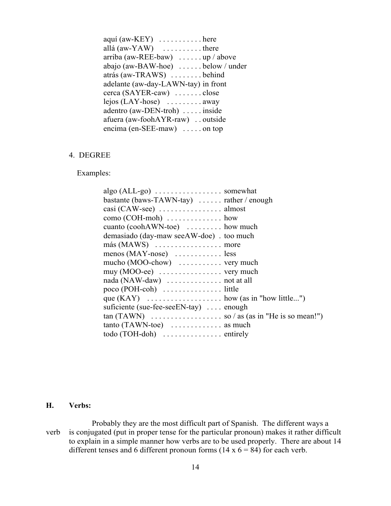| $a$ quí $(aw - K EY)$ here                               |
|----------------------------------------------------------|
| allá $(aw-YAW)$ there                                    |
| arriba (aw-REE-baw) $\dots \dots \text{up}/\text{above}$ |
| abajo (aw-BAW-hoe) below / under                         |
| atrás (aw-TRAWS) behind                                  |
| adelante (aw-day-LAWN-tay) in front                      |
| cerca (SAYER-caw)  close                                 |
| $lejos$ (LAY-hose) $\dots \dots \dots$ away              |
| adentro (aw-DEN-troh)  inside                            |
| afuera (aw-foohAYR-raw) outside                          |
| encima (en-SEE-maw) on top                               |

#### 4. DEGREE

Examples:

| $\text{algo (ALL-go)} \dots \dots \dots \dots \dots \dots \text{somewhat}$ |
|----------------------------------------------------------------------------|
| bastante (baws-TAWN-tay) $\dots$ rather / enough                           |
|                                                                            |
| $como (COH-moh)$ how                                                       |
| cuanto $(cosh AWN-toe)$ how much                                           |
| demasiado (day-maw seeAW-doe) . too much                                   |
|                                                                            |
| $menos (MAY-nose)$ less                                                    |
| mucho $(MOO-chow)$ very much                                               |
| muy $(MOO-ee)$ very much                                                   |
|                                                                            |
|                                                                            |
|                                                                            |
| suficiente (sue-fee-see EN-tay)  enough                                    |
|                                                                            |
| tanto (TAWN-toe)  as much                                                  |
|                                                                            |

#### **H. Verbs:**

Probably they are the most difficult part of Spanish. The different ways a verb is conjugated (put in proper tense for the particular pronoun) makes it rather difficult to explain in a simple manner how verbs are to be used properly. There are about 14 different tenses and 6 different pronoun forms  $(14 \times 6 = 84)$  for each verb.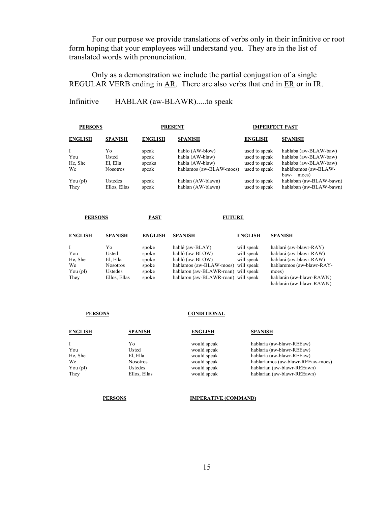For our purpose we provide translations of verbs only in their infinitive or root form hoping that your employees will understand you. They are in the list of translated words with pronunciation.

Only as a demonstration we include the partial conjugation of a single REGULAR VERB ending in AR. There are also verbs that end in ER or in IR.

#### Infinitive HABLAR (aw-BLAWR).....to speak

| <b>PERSONS</b>  |                |                         |                |                                       |
|-----------------|----------------|-------------------------|----------------|---------------------------------------|
| <b>SPANISH</b>  | <b>ENGLISH</b> | <b>SPANISH</b>          | <b>ENGLISH</b> | <b>SPANISH</b>                        |
| Yο              | speak          | hablo (AW-blow)         | used to speak  | hablaba (aw-BLAW-baw)                 |
| Usted           | speak          | habla (AW-blaw)         | used to speak  | hablaba (aw-BLAW-baw)                 |
| El, Ella        | speaks         | habla (AW-blaw)         | used to speak  | hablaba (aw-BLAW-baw)                 |
| <b>Nosotros</b> | speak          | hablamos (aw-BLAW-moes) | used to speak  | hablábamos (aw-BLAW-<br>baw-<br>moes) |
| Ustedes         | speak          | hablan (AW-blawn)       | used to speak  | hablaban (aw-BLAW-bawn)               |
| Ellos, Ellas    | speak          | hablan (AW-blawn)       | used to speak  | hablaban (aw-BLAW-bawn)               |
|                 |                |                         | <b>PRESENT</b> | <b>IMPERFECT PAST</b>                 |

| <b>PERSONS</b> |                | PAST           |                | <b>FUTURE</b>  |                |  |
|----------------|----------------|----------------|----------------|----------------|----------------|--|
| <b>ENGLISH</b> | <b>SPANISH</b> | <b>ENGLISH</b> | <b>SPANISH</b> | <b>ENGLISH</b> | <b>SPANISH</b> |  |

| Ι.                        | Yο              | spoke | hablé (aw-BLAY)                     | will speak | hablaré (aw-blawr-RAY)    |
|---------------------------|-----------------|-------|-------------------------------------|------------|---------------------------|
| You                       | Usted           | spoke | habló (aw-BLOW)                     | will speak | hablará (aw-blawr-RAW)    |
| He, She                   | El. Ella        | spoke | habló (aw-BLOW)                     | will speak | hablará (aw-blawr-RAW)    |
| We                        | <b>Nosotros</b> | spoke | hablamos (aw-BLAW-moes) will speak  |            | hablaremos (aw-blawr-RAY- |
| You $\left($ pl $\right)$ | <b>Ustedes</b>  | spoke | hablaron (aw-BLAWR-roan) will speak |            | moes)                     |
| They                      | Ellos, Ellas    | spoke | hablaron (aw-BLAWR-roan) will speak |            | hablarán (aw-blawr-RAWN)  |
|                           |                 |       |                                     |            | hablarán (aw-blawr-RAWN)  |

#### **PERSONS CONDITIONAL**

| <b>SPANISH</b>  | <b>ENGLISH</b> | <b>SPANISH</b>                    |
|-----------------|----------------|-----------------------------------|
| Yo              | would speak    | hablaría (aw-blawr-REEaw)         |
| Usted           | would speak    | hablaría (aw-blawr-REEaw)         |
| El, Ella        | would speak    | hablaría (aw-blawr-REEaw)         |
| <b>Nosotros</b> | would speak    | hablaríamos (aw-blawr-REEaw-moes) |
| Ustedes         | would speak    | hablarían (aw-blawr-REEawn)       |
| Ellos, Ellas    | would speak    | hablarían (aw-blawr-REEawn)       |
|                 |                |                                   |

#### **PERSONS IMPERATIVE (COMMAND)**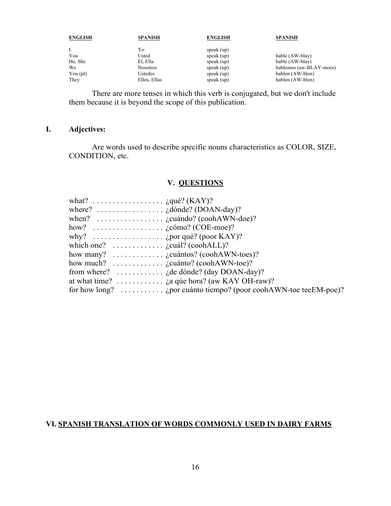| <b>ENGLISH</b>            | <b>SPANISH</b>  | <b>ENGLISH</b> | <b>SPANISH</b>          |
|---------------------------|-----------------|----------------|-------------------------|
|                           | Yo              | speak $(up)$   |                         |
| You                       | Usted           | speak $(up)$   | hable (AW-blay)         |
| He, She                   | El, Ella        | speak $(up)$   | hable (AW-blay)         |
| We                        | <b>Nosotros</b> | speak $(up)$   | hablemos (aw-BLAY-moes) |
| You $\left($ pl $\right)$ | Ustedes         | speak $(up)$   | hablen (AW-blen)        |
| They                      | Ellos, Ellas    | speak $(up)$   | hablen (AW-blen)        |

There are more tenses in which this verb is conjugated, but we don't include them because it is beyond the scope of this publication.

## **I. Adjectives:**

Are words used to describe specific nouns characteristics as COLOR, SIZE, CONDITION, etc.

#### **V. QUESTIONS**

| what? $\dots \dots \dots \dots \dots \dots$ $\log_e(KAY)$ ?                                                                                                                                                                                                                                                                                        |                                                                                          |
|----------------------------------------------------------------------------------------------------------------------------------------------------------------------------------------------------------------------------------------------------------------------------------------------------------------------------------------------------|------------------------------------------------------------------------------------------|
|                                                                                                                                                                                                                                                                                                                                                    |                                                                                          |
|                                                                                                                                                                                                                                                                                                                                                    |                                                                                          |
| how? $\ldots \ldots \ldots \ldots \ldots$ $\ldots$ $\ldots$ $\ldots$ $\ldots$ $\ldots$ $\ldots$ $\ldots$ $\ldots$ $\ldots$ $\ldots$ $\ldots$ $\ldots$ $\ldots$ $\ldots$ $\ldots$ $\ldots$ $\ldots$ $\ldots$ $\ldots$ $\ldots$ $\ldots$ $\ldots$ $\ldots$ $\ldots$ $\ldots$ $\ldots$ $\ldots$ $\ldots$ $\ldots$ $\ldots$ $\ldots$ $\ldots$ $\ldots$ |                                                                                          |
|                                                                                                                                                                                                                                                                                                                                                    |                                                                                          |
| which one? $\ldots \ldots \ldots$ is given given the general coold ALL)?                                                                                                                                                                                                                                                                           |                                                                                          |
| how many? $\ldots \ldots \ldots$ <i>i</i> cuántos? (coohAWN-toes)?                                                                                                                                                                                                                                                                                 |                                                                                          |
| how much? $\ldots \ldots \ldots$ $\ldots$ $\ldots$ $\ldots$ $\ldots$ $\ldots$ $\ldots$ $\ldots$ $\ldots$ $\ldots$ $\ldots$ $\ldots$ $\ldots$ $\ldots$ $\ldots$ $\ldots$ $\ldots$ $\ldots$ $\ldots$ $\ldots$ $\ldots$ $\ldots$ $\ldots$ $\ldots$ $\ldots$ $\ldots$ $\ldots$ $\ldots$ $\ldots$ $\ldots$ $\ldots$ $\ldots$ $\ldots$ $\ldots$          |                                                                                          |
|                                                                                                                                                                                                                                                                                                                                                    | from where? $\ldots \ldots \ldots$ i.e. $\vdots$ i.e. $\vdots$ de dónde? (day DOAN-day)? |
|                                                                                                                                                                                                                                                                                                                                                    | at what time? $\dots \dots \dots$ is a que hora? (aw KAY OH-raw)?                        |
|                                                                                                                                                                                                                                                                                                                                                    | for how long? $\ldots \ldots \ldots$ (por cuánto tiempo? (poor coohAWN-toe teeEM-poe)?   |

## **VI. SPANISH TRANSLATION OF WORDS COMMONLY USED IN DAIRY FARMS**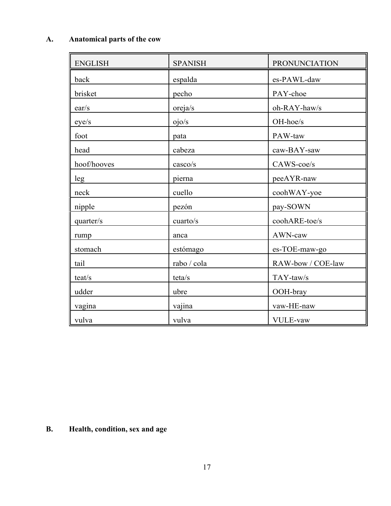# **A. Anatomical parts of the cow**

| <b>ENGLISH</b> | <b>SPANISH</b> | <b>PRONUNCIATION</b> |
|----------------|----------------|----------------------|
| back           | espalda        | es-PAWL-daw          |
| brisket        | pecho          | PAY-choe             |
| ear/s          | oreja/s        | oh-RAY-haw/s         |
| eye/s          | ojo/s          | OH-hoe/s             |
| foot           | pata           | PAW-taw              |
| head           | cabeza         | caw-BAY-saw          |
| hoof/hooves    | casco/s        | CAWS-coe/s           |
| leg            | pierna         | peeAYR-naw           |
| neck           | cuello         | coohWAY-yoe          |
| nipple         | pezón          | pay-SOWN             |
| quarter/s      | cuarto/s       | coohARE-toe/s        |
| rump           | anca           | AWN-caw              |
| stomach        | estómago       | es-TOE-maw-go        |
| tail           | rabo / cola    | RAW-bow / COE-law    |
| teat/s         | teta/s         | TAY-taw/s            |
| udder          | ubre           | OOH-bray             |
| vagina         | vajina         | vaw-HE-naw           |
| vulva          | vulva          | <b>VULE-vaw</b>      |

# **B. Health, condition, sex and age**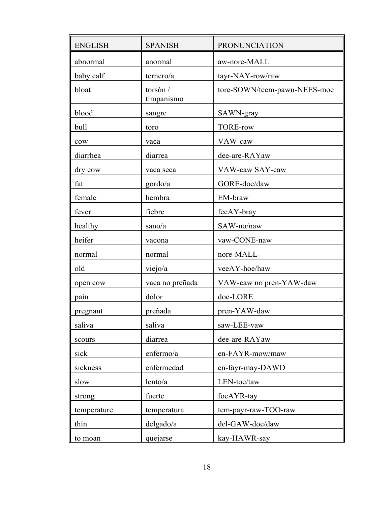| <b>ENGLISH</b>  | <b>SPANISH</b>         | PRONUNCIATION                |
|-----------------|------------------------|------------------------------|
| abnormal        | anormal                | aw-nore-MALL                 |
| baby calf       | ternero/a              | tayr-NAY-row/raw             |
| bloat           | torsón /<br>timpanismo | tore-SOWN/teem-pawn-NEES-moe |
| blood           | sangre                 | SAWN-gray                    |
| bull            | toro                   | <b>TORE-row</b>              |
| $_{\text{cow}}$ | vaca                   | VAW-caw                      |
| diarrhea        | diarrea                | dee-are-RAYaw                |
| dry cow         | vaca seca              | VAW-caw SAY-caw              |
| fat             | gordo/a                | GORE-doe/daw                 |
| female          | hembra                 | EM-braw                      |
| fever           | fiebre                 | feeAY-bray                   |
| healthy         | sano/a                 | SAW-no/naw                   |
| heifer          | vacona                 | vaw-CONE-naw                 |
| normal          | normal                 | nore-MALL                    |
| old             | viejo/a                | veeAY-hoe/haw                |
| open cow        | vaca no preñada        | VAW-caw no pren-YAW-daw      |
| pain            | dolor                  | doe-LORE                     |
| pregnant        | preñada                | pren-YAW-daw                 |
| saliva          | saliva                 | saw-LEE-vaw                  |
| scours          | diarrea                | dee-are-RAYaw                |
| sick            | enfermo/a              | en-FAYR-mow/maw              |
| sickness        | enfermedad             | en-fayr-may-DAWD             |
| slow            | lento/a                | LEN-toe/taw                  |
| strong          | fuerte                 | foeAYR-tay                   |
| temperature     | temperatura            | tem-payr-raw-TOO-raw         |
| thin            | delayado/a             | del-GAW-doe/daw              |
| to moan         | quejarse               | kay-HAWR-say                 |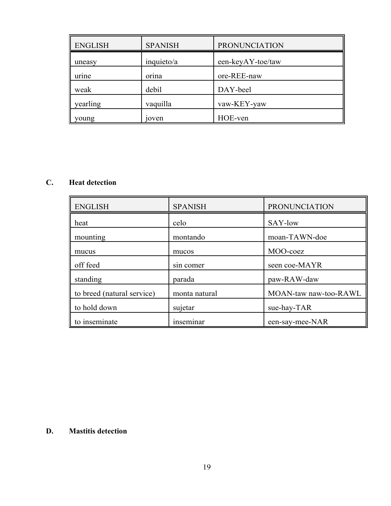| <b>ENGLISH</b> | <b>SPANISH</b> | <b>PRONUNCIATION</b> |
|----------------|----------------|----------------------|
| uneasy         | inquieto/a     | een-keyAY-toe/taw    |
| urine          | orina          | ore-REE-naw          |
| weak           | debil          | DAY-beel             |
| yearling       | vaquilla       | vaw-KEY-yaw          |
| young          | 10ven          | HOE-ven              |

# **C. Heat detection**

| <b>ENGLISH</b>             | <b>SPANISH</b> | <b>PRONUNCIATION</b>  |
|----------------------------|----------------|-----------------------|
| heat                       | celo           | SAY-low               |
| mounting                   | montando       | moan-TAWN-doe         |
| mucus                      | mucos          | MOO-coez              |
| off feed                   | sin comer      | seen coe-MAYR         |
| standing                   | parada         | paw-RAW-daw           |
| to breed (natural service) | monta natural  | MOAN-taw naw-too-RAWL |
| to hold down               | sujetar        | sue-hay-TAR           |
| to inseminate              | inseminar      | een-say-mee-NAR       |

## **D. Mastitis detection**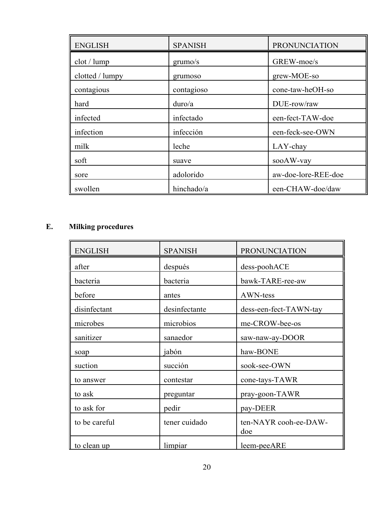| <b>ENGLISH</b>  | <b>SPANISH</b> | <b>PRONUNCIATION</b> |
|-----------------|----------------|----------------------|
| $dot /$ lump    | grumo/s        | GREW-moe/s           |
| clotted / lumpy | grumoso        | grew-MOE-so          |
| contagious      | contagioso     | cone-taw-heOH-so     |
| hard            | duro/a         | DUE-row/raw          |
| infected        | infectado      | een-fect-TAW-doe     |
| infection       | infección      | een-feck-see-OWN     |
| milk            | leche          | LAY-chay             |
| soft            | suave          | sooAW-vay            |
| sore            | adolorido      | aw-doe-lore-REE-doe  |
| swollen         | hinchado/a     | een-CHAW-doe/daw     |

# **E. Milking procedures**

| <b>ENGLISH</b> | <b>SPANISH</b> | <b>PRONUNCIATION</b>         |
|----------------|----------------|------------------------------|
| after          | después        | dess-poohACE                 |
| bacteria       | bacteria       | bawk-TARE-ree-aw             |
| before         | antes          | AWN-tess                     |
| disinfectant   | desinfectante  | dess-een-fect-TAWN-tay       |
| microbes       | microbios      | me-CROW-bee-os               |
| sanitizer      | sanaedor       | saw-naw-ay-DOOR              |
| soap           | jabón          | haw-BONE                     |
| suction        | succión        | sook-see-OWN                 |
| to answer      | contestar      | cone-tays-TAWR               |
| to ask         | preguntar      | pray-goon-TAWR               |
| to ask for     | pedir          | pay-DEER                     |
| to be careful  | tener cuidado  | ten-NAYR cooh-ee-DAW-<br>doe |
| to clean up    | limpiar        | leem-peeARE                  |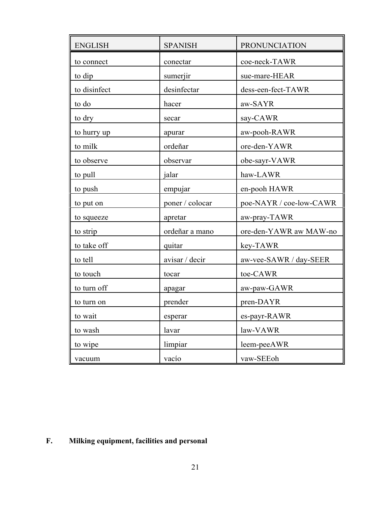| <b>ENGLISH</b> | <b>SPANISH</b>  | <b>PRONUNCIATION</b>    |
|----------------|-----------------|-------------------------|
| to connect     | conectar        | coe-neck-TAWR           |
| to dip         | sumerjir        | sue-mare-HEAR           |
| to disinfect   | desinfectar     | dess-een-fect-TAWR      |
| to do          | hacer           | aw-SAYR                 |
| to dry         | secar           | say-CAWR                |
| to hurry up    | apurar          | aw-pooh-RAWR            |
| to milk        | ordeñar         | ore-den-YAWR            |
| to observe     | observar        | obe-sayr-VAWR           |
| to pull        | jalar           | haw-LAWR                |
| to push        | empujar         | en-pooh HAWR            |
| to put on      | poner / colocar | poe-NAYR / coe-low-CAWR |
| to squeeze     | apretar         | aw-pray-TAWR            |
| to strip       | ordeñar a mano  | ore-den-YAWR aw MAW-no  |
| to take off    | quitar          | key-TAWR                |
| to tell        | avisar / decir  | aw-vee-SAWR / day-SEER  |
| to touch       | tocar           | toe-CAWR                |
| to turn off    | apagar          | aw-paw-GAWR             |
| to turn on     | prender         | pren-DAYR               |
| to wait        | esperar         | es-payr-RAWR            |
| to wash        | lavar           | law-VAWR                |
| to wipe        | limpiar         | leem-peeAWR             |
| vacuum         | vacío           | vaw-SEEoh               |

# **F. Milking equipment, facilities and personal**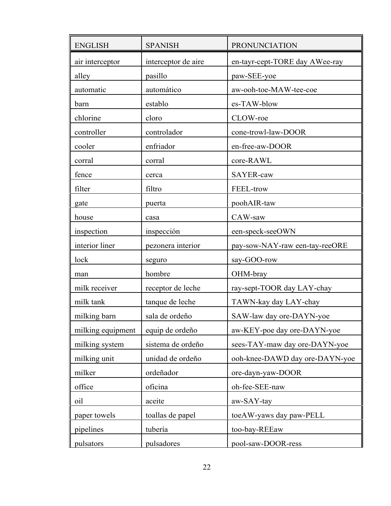| <b>ENGLISH</b>    | <b>SPANISH</b>      | PRONUNCIATION                  |
|-------------------|---------------------|--------------------------------|
| air interceptor   | interceptor de aire | en-tayr-cept-TORE day AWee-ray |
| alley             | pasillo             | paw-SEE-yoe                    |
| automatic         | automático          | aw-ooh-toe-MAW-tee-coe         |
| barn              | establo             | es-TAW-blow                    |
| chlorine          | cloro               | CLOW-roe                       |
| controller        | controlador         | cone-trowl-law-DOOR            |
| cooler            | enfriador           | en-free-aw-DOOR                |
| corral            | corral              | core-RAWL                      |
| fence             | cerca               | SAYER-caw                      |
| filter            | filtro              | FEEL-trow                      |
| gate              | puerta              | poohAIR-taw                    |
| house             | casa                | CAW-saw                        |
| inspection        | inspección          | een-speck-seeOWN               |
| interior liner    | pezonera interior   | pay-sow-NAY-raw een-tay-reeORE |
| lock              | seguro              | say-GOO-row                    |
| man               | hombre              | OHM-bray                       |
| milk receiver     | receptor de leche   | ray-sept-TOOR day LAY-chay     |
| milk tank         | tanque de leche     | TAWN-kay day LAY-chay          |
| milking barn      | sala de ordeño      | SAW-law day ore-DAYN-yoe       |
| milking equipment | equip de ordeño     | aw-KEY-poe day ore-DAYN-yoe    |
| milking system    | sistema de ordeño   | sees-TAY-maw day ore-DAYN-yoe  |
| milking unit      | unidad de ordeño    | ooh-knee-DAWD day ore-DAYN-yoe |
| milker            | ordeñador           | ore-dayn-yaw-DOOR              |
| office            | oficina             | oh-fee-SEE-naw                 |
| oil               | aceite              | aw-SAY-tay                     |
| paper towels      | toallas de papel    | toeAW-yaws day paw-PELL        |
| pipelines         | tubería             | too-bay-REEaw                  |
| pulsators         | pulsadores          | pool-saw-DOOR-ress             |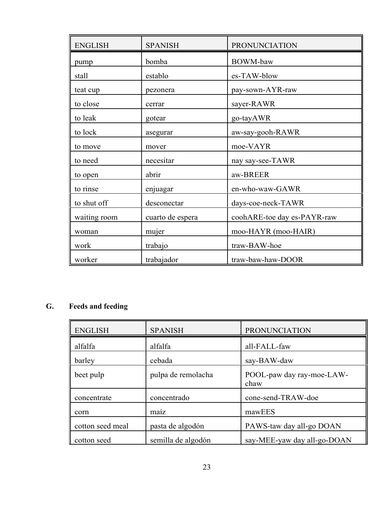| <b>ENGLISH</b> | <b>SPANISH</b>   | <b>PRONUNCIATION</b>        |
|----------------|------------------|-----------------------------|
| pump           | bomba            | <b>BOWM-baw</b>             |
| stall          | establo          | es-TAW-blow                 |
| teat cup       | pezonera         | pay-sown-AYR-raw            |
| to close       | cerrar           | sayer-RAWR                  |
| to leak        | gotear           | go-tayAWR                   |
| to lock        | asegurar         | aw-say-gooh-RAWR            |
| to move        | mover            | moe-VAYR                    |
| to need        | necesitar        | nay say-see-TAWR            |
| to open        | abrir            | aw-BREER                    |
| to rinse       | enjuagar         | en-who-waw-GAWR             |
| to shut off    | desconectar      | days-coe-neck-TAWR          |
| waiting room   | cuarto de espera | coohARE-toe day es-PAYR-raw |
| woman          | mujer            | moo-HAYR (moo-HAIR)         |
| work           | trabajo          | traw-BAW-hoe                |
| worker         | trabajador       | traw-baw-haw-DOOR           |

# **G. Feeds and feeding**

| <b>ENGLISH</b>   | <b>SPANISH</b>     | <b>PRONUNCIATION</b>              |
|------------------|--------------------|-----------------------------------|
| alfalfa          | alfalfa            | all-FALL-faw                      |
| barley           | cebada             | say-BAW-daw                       |
| beet pulp        | pulpa de remolacha | POOL-paw day ray-moe-LAW-<br>chaw |
| concentrate      | concentrado        | cone-send-TRAW-doe                |
| corn             | maíz               | mawEES                            |
| cotton seed meal | pasta de algodón   | PAWS-taw day all-go DOAN          |
| cotton seed      | semilla de algodón | say-MEE-yaw day all-go-DOAN       |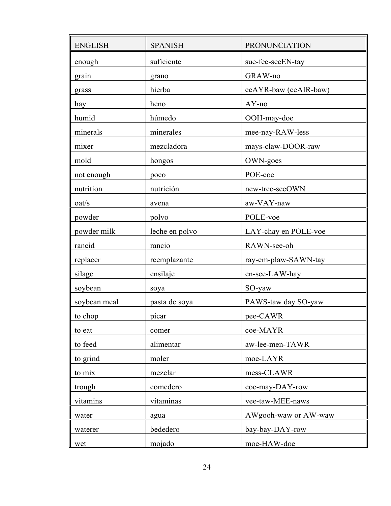| <b>ENGLISH</b> | <b>SPANISH</b> | PRONUNCIATION         |
|----------------|----------------|-----------------------|
| enough         | suficiente     | sue-fee-seeEN-tay     |
| grain          | grano          | GRAW-no               |
| grass          | hierba         | eeAYR-baw (eeAIR-baw) |
| hay            | heno           | $AY$ -no              |
| humid          | húmedo         | OOH-may-doe           |
| minerals       | minerales      | mee-nay-RAW-less      |
| mixer          | mezcladora     | mays-claw-DOOR-raw    |
| mold           | hongos         | OWN-goes              |
| not enough     | poco           | POE-coe               |
| nutrition      | nutrición      | new-tree-seeOWN       |
| oat/s          | avena          | aw-VAY-naw            |
| powder         | polvo          | POLE-voe              |
| powder milk    | leche en polvo | LAY-chay en POLE-voe  |
| rancid         | rancio         | RAWN-see-oh           |
| replacer       | reemplazante   | ray-em-plaw-SAWN-tay  |
| silage         | ensilaje       | en-see-LAW-hay        |
| soybean        | soya           | SO-yaw                |
| soybean meal   | pasta de soya  | PAWS-taw day SO-yaw   |
| to chop        | picar          | pee-CAWR              |
| to eat         | comer          | coe-MAYR              |
| to feed        | alimentar      | aw-lee-men-TAWR       |
| to grind       | moler          | moe-LAYR              |
| to mix         | mezclar        | mess-CLAWR            |
| trough         | comedero       | coe-may-DAY-row       |
| vitamins       | vitaminas      | vee-taw-MEE-naws      |
| water          | agua           | AWgooh-waw or AW-waw  |
| waterer        | bededero       | bay-bay-DAY-row       |
| wet            | mojado         | moe-HAW-doe           |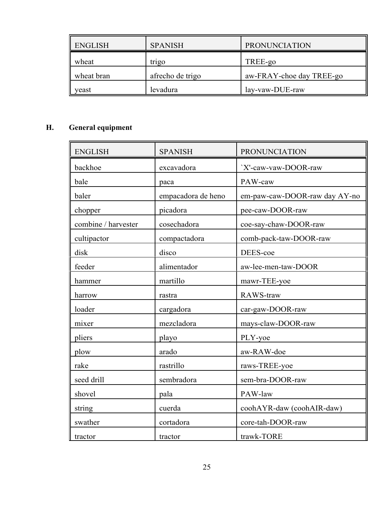| <b>ENGLISH</b> | <b>SPANISH</b>   | <b>PRONUNCIATION</b>     |
|----------------|------------------|--------------------------|
| wheat          | trigo            | TREE-go                  |
| wheat bran     | afrecho de trigo | aw-FRAY-choe day TREE-go |
| veast          | levadura         | lay-vaw-DUE-raw          |

# **H. General equipment**

| <b>ENGLISH</b>      | <b>SPANISH</b>     | <b>PRONUNCIATION</b>          |
|---------------------|--------------------|-------------------------------|
| backhoe             | excavadora         | `X'-caw-vaw-DOOR-raw          |
| bale                | paca               | PAW-caw                       |
| baler               | empacadora de heno | em-paw-caw-DOOR-raw day AY-no |
| chopper             | picadora           | pee-caw-DOOR-raw              |
| combine / harvester | cosechadora        | coe-say-chaw-DOOR-raw         |
| cultipactor         | compactadora       | comb-pack-taw-DOOR-raw        |
| disk                | disco              | DEES-coe                      |
| feeder              | alimentador        | aw-lee-men-taw-DOOR           |
| hammer              | martillo           | mawr-TEE-yoe                  |
| harrow              | rastra             | RAWS-traw                     |
| loader              | cargadora          | car-gaw-DOOR-raw              |
| mixer               | mezcladora         | mays-claw-DOOR-raw            |
| pliers              | playo              | PLY-yoe                       |
| plow                | arado              | aw-RAW-doe                    |
| rake                | rastrillo          | raws-TREE-yoe                 |
| seed drill          | sembradora         | sem-bra-DOOR-raw              |
| shovel              | pala               | PAW-law                       |
| string              | cuerda             | coohAYR-daw (coohAIR-daw)     |
| swather             | cortadora          | core-tah-DOOR-raw             |
| tractor             | tractor            | trawk-TORE                    |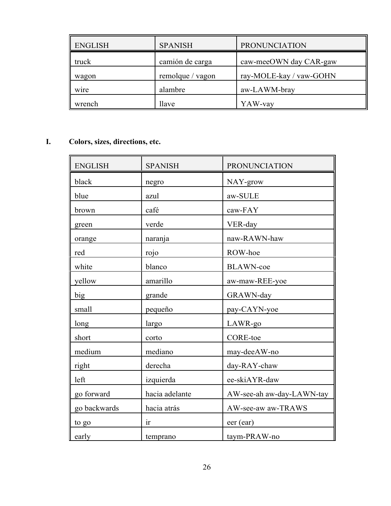| <b>ENGLISH</b> | <b>SPANISH</b>   | <b>PRONUNCIATION</b>    |
|----------------|------------------|-------------------------|
| truck          | camión de carga  | caw-meeOWN day CAR-gaw  |
| wagon          | remolque / vagon | ray-MOLE-kay / vaw-GOHN |
| wire           | alambre          | aw-LAWM-bray            |
| wrench         | llave            | YAW-vay                 |

# **I. Colors, sizes, directions, etc.**

| <b>ENGLISH</b> | <b>SPANISH</b> | <b>PRONUNCIATION</b>      |
|----------------|----------------|---------------------------|
| black          | negro          | NAY-grow                  |
| blue           | azul           | aw-SULE                   |
| brown          | café           | caw-FAY                   |
| green          | verde          | VER-day                   |
| orange         | naranja        | naw-RAWN-haw              |
| red            | rojo           | ROW-hoe                   |
| white          | blanco         | <b>BLAWN-coe</b>          |
| yellow         | amarillo       | aw-maw-REE-yoe            |
| big            | grande         | GRAWN-day                 |
| small          | pequeño        | pay-CAYN-yoe              |
| long           | largo          | LAWR-go                   |
| short          | corto          | <b>CORE-toe</b>           |
| medium         | mediano        | may-deeAW-no              |
| right          | derecha        | day-RAY-chaw              |
| left           | izquierda      | ee-skiAYR-daw             |
| go forward     | hacia adelante | AW-see-ah aw-day-LAWN-tay |
| go backwards   | hacia atrás    | AW-see-aw aw-TRAWS        |
| to go          | ir             | eer (ear)                 |
| early          | temprano       | taym-PRAW-no              |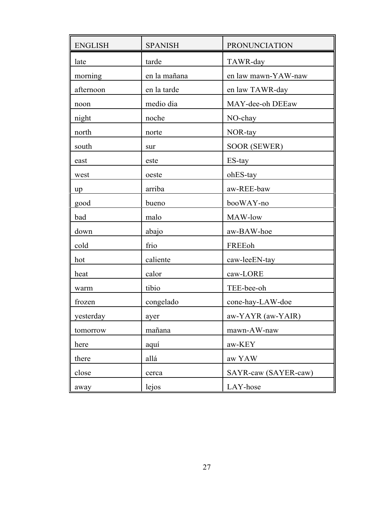| <b>ENGLISH</b> | <b>SPANISH</b> | PRONUNCIATION        |
|----------------|----------------|----------------------|
| late           | tarde          | TAWR-day             |
| morning        | en la mañana   | en law mawn-YAW-naw  |
| afternoon      | en la tarde    | en law TAWR-day      |
| noon           | medio dia      | MAY-dee-oh DEEaw     |
| night          | noche          | NO-chay              |
| north          | norte          | NOR-tay              |
| south          | sur            | <b>SOOR (SEWER)</b>  |
| east           | este           | ES-tay               |
| west           | oeste          | ohES-tay             |
| up             | arriba         | aw-REE-baw           |
| good           | bueno          | booWAY-no            |
| bad            | malo           | MAW-low              |
| down           | abajo          | aw-BAW-hoe           |
| cold           | frio           | FREEoh               |
| hot            | caliente       | caw-leeEN-tay        |
| heat           | calor          | caw-LORE             |
| warm           | tibio          | TEE-bee-oh           |
| frozen         | congelado      | cone-hay-LAW-doe     |
| yesterday      | ayer           | aw-YAYR (aw-YAIR)    |
| tomorrow       | mañana         | mawn-AW-naw          |
| here           | aquí           | aw-KEY               |
| there          | allá           | aw YAW               |
| close          | cerca          | SAYR-caw (SAYER-caw) |
| away           | lejos          | LAY-hose             |